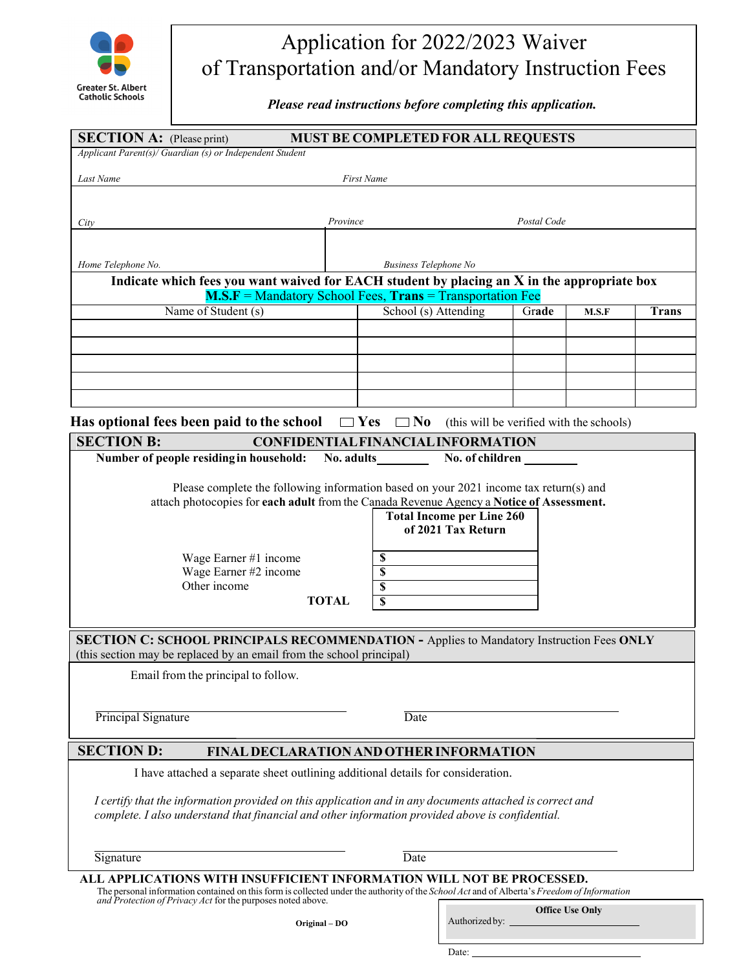

## Application for 2022/2023 Waiver of Transportation and/or Mandatory Instruction Fees

*Please read instructions before completing this application.* 

| <b>SECTION A:</b> (Please print)<br><b>MUST BE COMPLETED FOR ALL REQUESTS</b>                                                                                                                                                                                                                                                                      |                                                              |       |       |              |  |  |
|----------------------------------------------------------------------------------------------------------------------------------------------------------------------------------------------------------------------------------------------------------------------------------------------------------------------------------------------------|--------------------------------------------------------------|-------|-------|--------------|--|--|
| Applicant Parent(s)/ Guardian (s) or Independent Student                                                                                                                                                                                                                                                                                           |                                                              |       |       |              |  |  |
| Last Name<br><b>First Name</b>                                                                                                                                                                                                                                                                                                                     |                                                              |       |       |              |  |  |
|                                                                                                                                                                                                                                                                                                                                                    |                                                              |       |       |              |  |  |
| City                                                                                                                                                                                                                                                                                                                                               | Postal Code<br>Province                                      |       |       |              |  |  |
|                                                                                                                                                                                                                                                                                                                                                    |                                                              |       |       |              |  |  |
| Home Telephone No.                                                                                                                                                                                                                                                                                                                                 | <b>Business Telephone No</b>                                 |       |       |              |  |  |
| Indicate which fees you want waived for EACH student by placing an X in the appropriate box                                                                                                                                                                                                                                                        |                                                              |       |       |              |  |  |
| $M.S.F =$ Mandatory School Fees, Trans = Transportation Fee                                                                                                                                                                                                                                                                                        |                                                              |       |       |              |  |  |
| Name of Student (s)                                                                                                                                                                                                                                                                                                                                | School (s) Attending                                         | Grade | M.S.F | <b>Trans</b> |  |  |
|                                                                                                                                                                                                                                                                                                                                                    |                                                              |       |       |              |  |  |
|                                                                                                                                                                                                                                                                                                                                                    |                                                              |       |       |              |  |  |
|                                                                                                                                                                                                                                                                                                                                                    |                                                              |       |       |              |  |  |
|                                                                                                                                                                                                                                                                                                                                                    |                                                              |       |       |              |  |  |
|                                                                                                                                                                                                                                                                                                                                                    |                                                              |       |       |              |  |  |
| Has optional fees been paid to the school $\Box$ Yes $\Box$ No<br>(this will be verified with the schools)                                                                                                                                                                                                                                         |                                                              |       |       |              |  |  |
| <b>SECTION B:</b><br>Number of people residing in household:                                                                                                                                                                                                                                                                                       | <b>CONFIDENTIAL FINANCIAL INFORMATION</b><br>No. of children |       |       |              |  |  |
|                                                                                                                                                                                                                                                                                                                                                    |                                                              |       |       |              |  |  |
| Please complete the following information based on your 2021 income tax return(s) and<br>attach photocopies for each adult from the Canada Revenue Agency a Notice of Assessment.<br><b>Total Income per Line 260</b><br>of 2021 Tax Return<br>Wage Earner #1 income<br>S<br>Wage Earner #2 income<br>S<br>Other income<br>\$<br><b>TOTAL</b><br>S |                                                              |       |       |              |  |  |
| <b>SECTION C: SCHOOL PRINCIPALS RECOMMENDATION - Applies to Mandatory Instruction Fees ONLY</b><br>(this section may be replaced by an email from the school principal)                                                                                                                                                                            |                                                              |       |       |              |  |  |
| Email from the principal to follow.                                                                                                                                                                                                                                                                                                                |                                                              |       |       |              |  |  |
|                                                                                                                                                                                                                                                                                                                                                    |                                                              |       |       |              |  |  |
| Principal Signature                                                                                                                                                                                                                                                                                                                                | Date                                                         |       |       |              |  |  |
| <b>SECTION D:</b><br><b>FINAL DECLARATION AND OTHER INFORMATION</b>                                                                                                                                                                                                                                                                                |                                                              |       |       |              |  |  |
| I have attached a separate sheet outlining additional details for consideration.                                                                                                                                                                                                                                                                   |                                                              |       |       |              |  |  |
| I certify that the information provided on this application and in any documents attached is correct and<br>complete. I also understand that financial and other information provided above is confidential.                                                                                                                                       |                                                              |       |       |              |  |  |
| Signature                                                                                                                                                                                                                                                                                                                                          | Date                                                         |       |       |              |  |  |
| ALL APPLICATIONS WITH INSUFFICIENT INFORMATION WILL NOT BE PROCESSED.<br>The personal information contained on this form is collected under the authority of the School Act and of Alberta's Freedom of Information<br>and Protection of Privacy Act for the purposes noted above.                                                                 |                                                              |       |       |              |  |  |

**Office Use Only**

Authorized by:

Date: